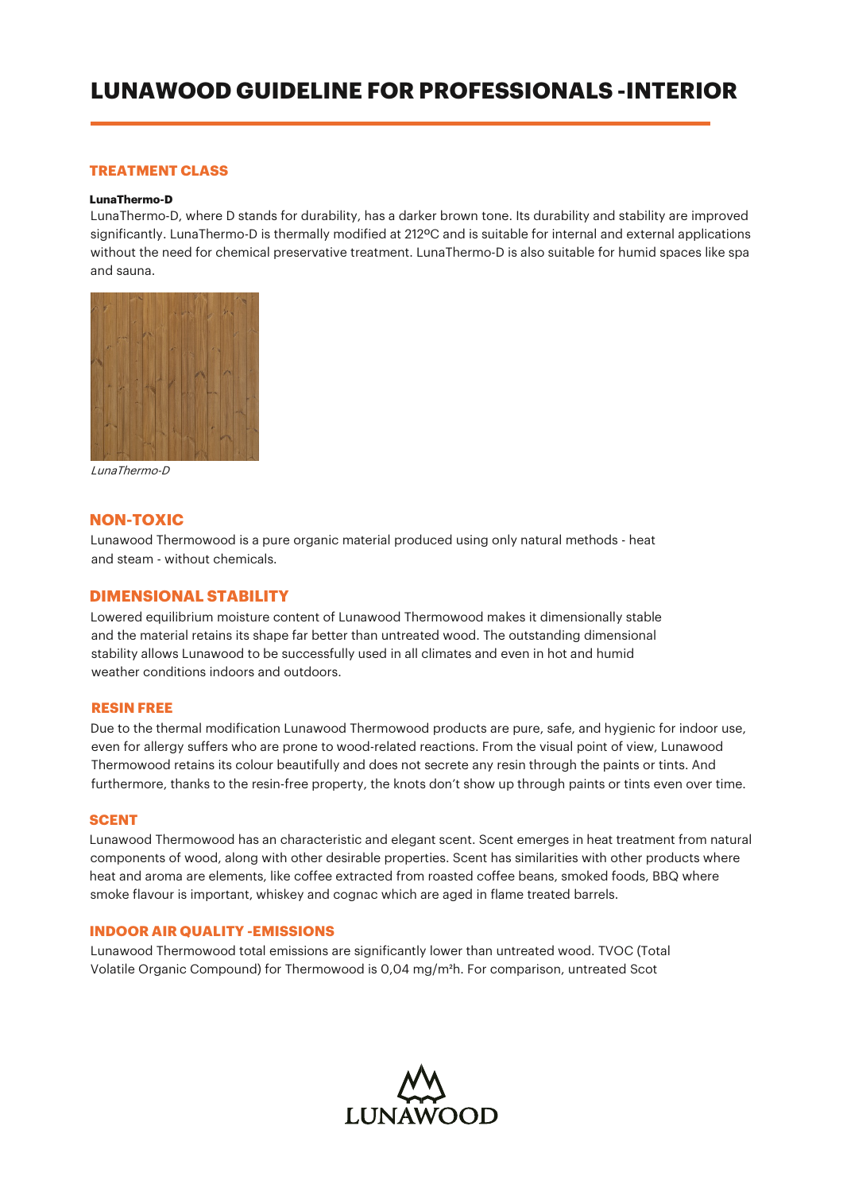# **LUNAWOOD GUIDELINE FOR PROFESSIONALS -INTERIOR**

# **TREATMENT CLASS**

#### **LunaThermo-D**

LunaThermo-D, where D stands for durability, has a darker brown tone. Its durability and stability are improved significantly. LunaThermo-D is thermally modified at 212ºC and is suitable for internal and external applications without the need for chemical preservative treatment. LunaThermo-D is also suitable for humid spaces like spa and sauna.



LunaThermo-D

## **NON-TOXIC**

Lunawood Thermowood is a pure organic material produced using only natural methods - heat and steam - without chemicals.

# **DIMENSIONAL STABILITY**

Lowered equilibrium moisture content of Lunawood Thermowood makes it dimensionally stable and the material retains its shape far better than untreated wood. The outstanding dimensional stability allows Lunawood to be successfully used in all climates and even in hot and humid weather conditions indoors and outdoors.

#### **RESIN FREE**

Due to the thermal modification Lunawood Thermowood products are pure, safe, and hygienic for indoor use, even for allergy suffers who are prone to wood-related reactions. From the visual point of view, Lunawood Thermowood retains its colour beautifully and does not secrete any resin through the paints or tints. And furthermore, thanks to the resin-free property, the knots don't show up through paints or tints even over time.

#### **SCENT**

Lunawood Thermowood has an characteristic and elegant scent. Scent emerges in heat treatment from natural components of wood, along with other desirable properties. Scent has similarities with other products where heat and aroma are elements, like coffee extracted from roasted coffee beans, smoked foods, BBQ where smoke flavour is important, whiskey and cognac which are aged in flame treated barrels.

#### **INDOOR AIR QUALITY -EMISSIONS**

Lunawood Thermowood total emissions are significantly lower than untreated wood. TVOC (Total Volatile Organic Compound) for Thermowood is 0,04 mg/m²h. For comparison, untreated Scot

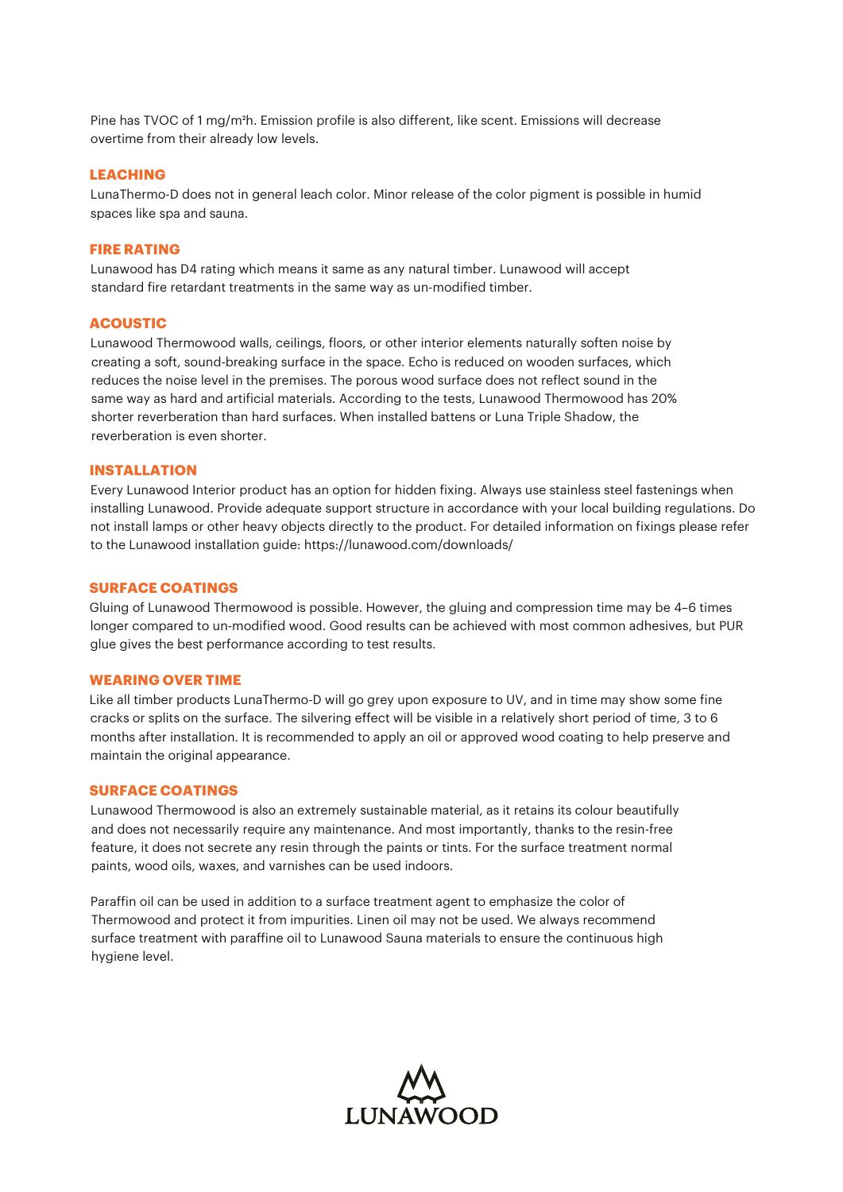Pine has TVOC of 1 mg/m²h. Emission profile is also different, like scent. Emissions will decrease overtime from their already low levels.

## **LEACHING**

LunaThermo-D does not in general leach color. Minor release of the color pigment is possible in humid spaces like spa and sauna.

#### **FIRE RATING**

Lunawood has D4 rating which means it same as any natural timber. Lunawood will accept standard fire retardant treatments in the same way as un-modified timber.

## **ACOUSTIC**

Lunawood Thermowood walls, ceilings, floors, or other interior elements naturally soften noise by creating a soft, sound-breaking surface in the space. Echo is reduced on wooden surfaces, which reduces the noise level in the premises. The porous wood surface does not reflect sound in the same way as hard and artificial materials. According to the tests, Lunawood Thermowood has 20% shorter reverberation than hard surfaces. When installed battens or Luna Triple Shadow, the reverberation is even shorter.

## **INSTALLATION**

Every Lunawood Interior product has an option for hidden fixing. Always use stainless steel fastenings when installing Lunawood. Provide adequate support structure in accordance with your local building regulations. Do not install lamps or other heavy objects directly to the product. For detailed information on fixings please refer to the Lunawood installation guide: https://lunawood.com/downloads/

#### **SURFACE COATINGS**

Gluing of Lunawood Thermowood is possible. However, the gluing and compression time may be 4–6 times longer compared to un-modified wood. Good results can be achieved with most common adhesives, but PUR glue gives the best performance according to test results.

#### **WEARING OVER TIME**

Like all timber products LunaThermo-D will go grey upon exposure to UV, and in time may show some fine cracks or splits on the surface. The silvering effect will be visible in a relatively short period of time, 3 to 6 months after installation. It is recommended to apply an oil or approved wood coating to help preserve and maintain the original appearance.

## **SURFACE COATINGS**

Lunawood Thermowood is also an extremely sustainable material, as it retains its colour beautifully and does not necessarily require any maintenance. And most importantly, thanks to the resin-free feature, it does not secrete any resin through the paints or tints. For the surface treatment normal paints, wood oils, waxes, and varnishes can be used indoors.

Paraffin oil can be used in addition to a surface treatment agent to emphasize the color of Thermowood and protect it from impurities. Linen oil may not be used. We always recommend surface treatment with paraffine oil to Lunawood Sauna materials to ensure the continuous high hygiene level.